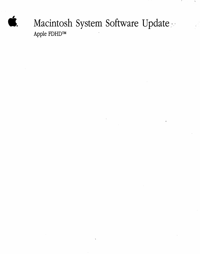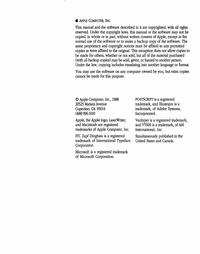#### **the APPLE COMPUTER, INC.**

This manual and the software described in it are copyrighted, with all rights reserved. Under the copyright laws, this manual or the software may not be copied, in whole or in part, without written consent of Apple, except in the normal use of the software or to make a backup copy of the software. The same proprietary and copyright notices must be affixed to any permitted copies as were affixed to the original. This exception does not allow copies to be made for others, whether or not sold, but all of the material purchased (with all backup copies) may be sold, given, or loaned to another person. Under the law, copying includes translating into another language or format.

You may use the software on any computer owned by you, but extra copies cannot be made for this purpose.

©Apple Computer, Inc., 1988 20525 Mariani Avenue Cupertino, CA 95014 ( 408) 996-1010

Apple, the Apple logo, LaserWriter, and Macintosh are registered trademarks of Apple Computer, Inc.

ITC Zapf Dingbats is a registered trademark of International Typeface Corporation.

Microsoft is a registered trademark of Microsoft Corporation.

POSTSCRIPT is a registered trademark, and Illustrator is a trademark, of Adobe Systems, Incorporated.

Varityper is a registered trademark, and VT600 is a trademark, of AM International, Inc.

Simultaneously published in the United States and Canada.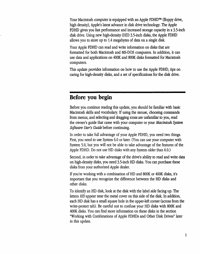Your Macintosh computer is equipped with an Apple FDHD™ (floppy drive, high density), Apple's latest advance in disk drive technology. The Apple FDHD gives you fast performance and increased storage capacity in a 3.5-inch disk drive. Using new high-density (HD) 3.5-inch disks, the Apple FDHD allows you to store up to 1.4 megabytes of data on a single disk.

Your Apple FDHD can read and write information on disks that are formatted for both Macintosh and MS-DOS computers. In addition, it can use data and applications on 400K and SOOK disks formatted for Macintosh computers.

This update provides information on how to use the Apple FDHD, tips on caring for high-density disks, and a set of specifications for the disk drive.

## **Before you begin**

Before you continue reading this update, you should be familiar with basic Macintosh skills and vocabulary. If using the mouse, choosing commands from menus, and selecting and dragging icons are unfamiliar to you, read the owner's guide that came with your computer or your *Macintosh System Software User's Guide* before continuing.

In order to take full advantage of your Apple FDHD, you need two things. First, you need to use System 6.0 or later. (You can use your computer with System 5.0, but you will not be able to take advantage of the features of the Apple FDHD. Do not use HD disks with any System older than 6.0.)

Second, in order to take advantage of the drive's ability to read and write data on high-density disks, you need 3.5-inch HD disks. You can purchase these disks from your authorized Apple dealer.

If you're working with a combination of HD and SOOK or 400K disks, it's important that you recognize the difference between the HD disks and other disks.

To identify an HD disk, look at the disk with the label side facing up. The letters HD appear near the metal cover on this side of the disk. In addition, each HD disk has a small square hole in the upper-left comer (across from the write-protect tab). Be careful not to confuse your HD disks with SOOK and 400K disks. You can find more information on these disks in the section "Working with Combinations of Apple FDHDs and Other Disk Drives" later in this update.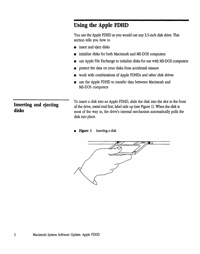# **Using the Apple FDHD**

You use the Apple FDHD as you would use any 3.5-inch disk drive. This section tells you how to

- $\blacksquare$  insert and eject disks
- initialize disks for both Macintosh and MS-DOS computers
- **use Apple File Exchange to initialize disks for use with MS-DOS computers**
- **•** protect the data on your disks from accidental erasure
- **work with combinations of Apple FDHDs and other disk drives**
- $\blacksquare$  use the Apple FDHD to transfer data between Macintosh and MS-DOS computers

**Inserting and ejecting disks** 

To insert a disk into an Apple FDHD, slide the disk into the slot in the front of the drive, metal end first, label side up (see Figure 1). When the disk is most of the way in, the drive's internal mechanism automatically pulls the disk into place.

**Figure 1** Inserting a disk

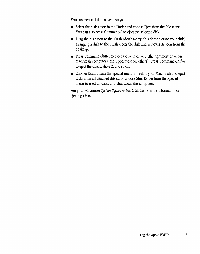You can eject a disk in several ways:

- Select the disk's icon in the Finder and choose Eject from the File menu. You can also press Command-£ to eject the selected disk.
- **•** Drag the disk icon to the Trash (don't worry, this doesn't erase your disk). Dragging a disk to the Trash ejects the disk and removes its icon from the desktop.
- **•** Press Command-Shift-1 to eject a disk in drive 1 (the rightmost drive on Macintosh computers, the uppermost on others). Press Command-Shift-2 to eject the disk in drive 2, and so on.
- Choose Restart from the Special menu to restart your Macintosh and eject disks from all attached drives, or choose Shut Down from the Special menu to eject all disks and shut down the computer.

See your *Macintosh System Software User's Guide* for more information on ejecting disks.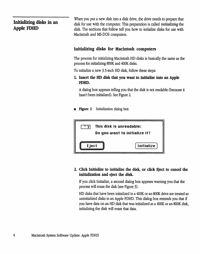## **Inidalizing disks in an Apple FDHD**

When you put a new disk into a disk drive, the drive needs to prepare that disk for use with the computer. This preparation is called *initializing* the disk. The sections that follow tell you how to initialize disks for use with Macintosh and MS-DOS computers.

### **Initializing disks for Macintosh computers**

The process for initializing Macintosh HD disks is basically the same as the process for initializing BOOK and 400K disks.

To initialize a new 3.5-inch HD disk, follow these steps:

**L Insert the HD disk that you want to initialize into an Apple FDHD.** 

A dialog box appears telling you that the disk is not readable (because it hasn't been initialized). See Figure 2.

• **Figure** 2 Initialization dialog box



### **2. Click Initialize to initialize the disk, or click Eject to cancel the initialization and eject the disk.**

If you click Initialize, a second dialog box appears warning you that the process will erase the disk (see Figure 3).

HD disks that have been initialized in a 400K or an BOOK drive are treated as uninitialized disks in an Apple FDHD. This dialog box reminds you that if you have data on an HD disk that was initialized as a 400K or an BOOK disk, initializing the disk will erase that data.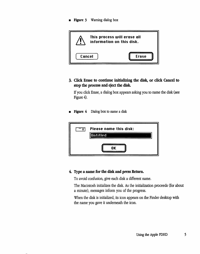**Figure 3** Warning dialog box



**3. Click Erase to continue initializing the disk, or click Cancel to stop the process and eject the disk.** 

If you click Erase, a dialog box appears asking you to name the disk (see Figure 4).

**Figure 4** Dialog box to name a disk



#### **4. Type a name for the disk and press Return.**

To avoid confusion, give each disk a different name.

The Macintosh initializes the disk. As the initialization proceeds (for about a minute), messages inform you of the progress.

When the disk is initialized, its icon appears on the Finder desktop with the name you gave it underneath the icon.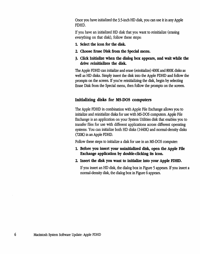Once you have initialized the 3.5-inch HD disk, you can use it in any Apple FDHD.

If you have an initialized HD disk that you want to reinitialize (erasing everything on that disk), follow these steps:

- 1. Select the icon for the disk.
- 2. Choose Erase Disk from the Special menu.
- 3. Click Initialize when the dialog box appears, and wait while the drive reinitializes the disk.

The Apple FDHD can initialize and erase (reinitialize) 400K and BOOK disks as well as HD disks. Simply insert the disk into the Apple FDHD and follow the prompts on the screen. If you're reinitializing the disk, begin by selecting Erase Disk from the Special menu, then follow the prompts on the screen.

### Initializing disks for MS-DOS computers

The Apple FDHD in combination with Apple File Exchange allows you to initialize and reinitialize disks for use with MS-DOS computers. Apple File Exchange is an application on your System Utilities disk that enables you to transfer ftles for use with different applications across different operating systems. You can initialize both HD disks (1440K) and normal-density disks 020K) in an Apple FDHD.

Follow these steps to initialize a disk for use in an MS-DOS computer:

- 1. Before you insert your uninitialized disk, open the Apple File Exchange application by double-clicking its icon.
- 2. Insert the disk you want to initialize into your Apple FDHD.

If you insert an HD disk, the dialog box in Figure 5 appears. If you insert a normal-density disk, the dialog box in Figure 6 appears.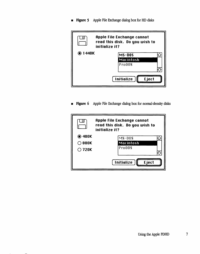**• Figure 5** Apple File Exchange dialog box for HD disks



**Figure 6** Apple File Exchange dialog box for normal-density disks

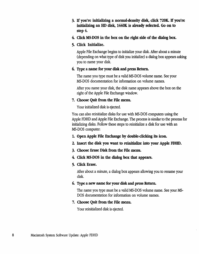- 3. If you're initializing a normal·density disk, click 720K. If you're initializing an HD disk, 1440K is already selected. Go on to step 4.
- 4. Click MS-DOS in the box on the right side of the dialog box.
- 5. Click Initialize.

Apple File Exchange begins to initialize your disk. After about a minute (depending on what type of disk you initialize) a dialog box appears asking you to name your disk.

#### 6. Type a name for your disk and press Return.

The name you type must be a valid MS-DOS volume name. See your MS-DOS documentation for information on volume names.

After you name your disk, the disk name appears above the box on the right of the Apple File Exchange window.

#### 7. Choose Quit from the File menu.

Your initialized disk is ejected.

You can also reinitialize disks for use with MS-DOS computers using the Apple FDHD and Apple File Exchange. The process is similar to the process for initializing disks. Follow these steps to reinitialize a disk for use with an MS-DOS computer:

- 1. Open Apple File Exchange by double-clicking its icon.
- 2. Insert the disk you want to reinitialize into your Apple FDHD.
- 3. Choose Erase Disk from the File menu.
- 4. Click MS-DOS in the dialog box that appears.

#### 5. Click Erase.

After about a minute, a dialog box appears allowing you to rename your disk.

#### 6. Type a new name for your disk and press Return.

The name you type must be a valid MS-DOS volume name. See your MS-DOS documentation for information on volume names.

#### 7. Choose Quit from the File menu.

Your reinitialized disk is ejected.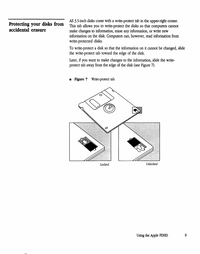## **Protecting your disks from accidental erasure**

All 3.5-inch disks come with a write-protect tab in the upper-right comer. This tab allows you to write-protect the disks so that computers cannot make changes to information, erase any information, or write new information on the disk. Computers can, however, read information from write-protected disks.

To write-protect a disk so that the information on it cannot be changed, slide the write-protect tab toward the edge of the disk.

Later, if you want to make changes to the information, slide the writeprotect tab away from the edge of the disk (see Figure 7).

**Figure 7** Write-protect tab

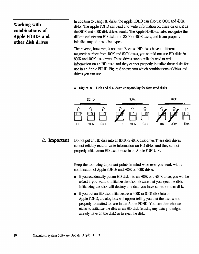## **Working with combinations of Apple FDHDs and other disk drives**

In addition to using HD disks, the Apple FDHD can also use SOOK and 400K disks. The Apple FDHD can read and write information on these disks just as the SOOK and 400K disk drives would. The Apple FDHD can also recognize the difference between HD disks and SOOK or 400K disks, and it can properly initialize any of these disk types.

The reverse, however, is not true. Because HD disks have a different magnetic surface from 400K and SOOK disks, you should not use HD disks in SOOK and 400K disk drives. These drives cannot reliably read or write information on an HD disk, and they cannot properly initialize these disks for use in an Apple FDHD. Figure S shows you which combinations of disks and drives you can use.

**• Figure 8** Disk and disk drive compatibility for formatted disks



 $\triangle$  **Important** Do not put an HD disk into an 800K or 400K disk drive. These disk drives cannot reliably read or write information on HD disks, and they cannot properly initialize an HD disk for use in an Apple FDHD.  $\triangle$ 

> Keep the following important points in mind whenever you work with a combination of Apple FDHDs and SOOK or 400K drives:

- If you accidentally put an HD disk into an SOOK or a 400K drive, you will be asked if you want to initialize the disk. Be sure that you eject the disk. Initializing the disk will destroy any data you have stored on that disk.
- If you put an HD disk initialized as a 400K or 800K disk into an Apple FDHD, a dialog box will appear telling you that the disk is not properly formatted for use in the Apple FDHD. You can then choose either to initialize the disk as an HD disk (erasing any data you might already have on the disk) or to eject the disk.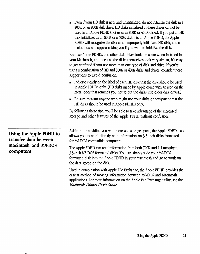• Even if your HD disk *is* new and uninitialized, do not initialize the disk in a 400K or an SOOK disk drive. HD disks initialized in these drives cannot be used in an Apple FDHD (not even as SOOK or 400K disks). If you put an HD disk initialized as an SOOK or a 400K disk into an Apple FDHD, the Apple FDHD will recognize the disk as an improperly initialized HD disk, and a dialog box will appear asking you if you want to initialize the disk.

Because Apple FDHDs and other disk drives look the same when installed in your Macintosh, and because the disks themselves look very similar, it's easy to get confused if you use more than one type of disk and drive. If you're using a combination of HD and SOOK or 400K disks and drives, consider these suggestions to avoid confusion:

- Indicate clearly on the label of each HD disk that the disk should be used in Apple FDHDs only. (HD disks made by Apple come with an icon on the metal door that reminds you not to put the disks into older disk drives.)
- Be sure to warn anyone who might use your disks or equipment that the HD disks should be used in Apple FDHDs only.

By following these tips, you'll be able to take advantage of the increased storage and other features of the Apple FDHD without confusion.

**Using the Apple FDHD to transfer data between Macintosh and MS-DOS computers** 

Aside from providing you with increased storage space, the Apple FDHD also allows you to work directly with information on 3.5-inch disks formatted for MS-DOS compatible computers.

The Apple FDHD can read information from both 720K and 1.4 megabyte, 3.5-inch MS-DOS formatted disks. You can simply slide your MS-DOS formatted disk into the Apple FDHD in your Macintosh and go to work on the data stored on the disk.

Used in combination with Apple File Exchange, the Apple FDHD provides the easiest method of moving information between MS-DOS and Macintosh applications. For more information on the Apple File Exchange utility, see the *Macintosh Utilities User's Guide.*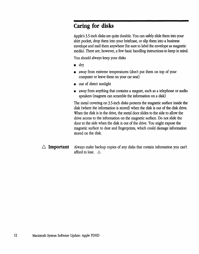# **Caring for disks**

Apple's 3.5-inch disks are quite durable. You can safely slide them into your shirt pocket, drop them into your briefcase, or slip them into a business envelope and mail them anywhere (be sure to label the envelope as magnetic media). There are, however, a few basic handling instructions to keep in mind

You should always keep your disks

- $\blacksquare$  dry
- away from extreme temperatures (don't put them on top of your computer or leave them on your car seat)
- **•** out of direct sunlight
- away from anything that contains a magnet, such as a telephone or audio speakers (magnets can scramble the information on a disk)

The metal covering on 3.5-inch disks protects the magnetic surface inside the disk (where the information is stored) when the disk is out of the disk drive. When the disk is in the drive, the metal door slides to the side to allow the drive access to the information on the magnetic surface. Do not slide the door to the side when the disk is out of the drive. You might expose the magnetic surface to dust and fingerprints, which could damage information stored on the disk.

 $\triangle$  **Important** Always make backup copies of any disks that contain information you can't afford to lose.  $\triangle$